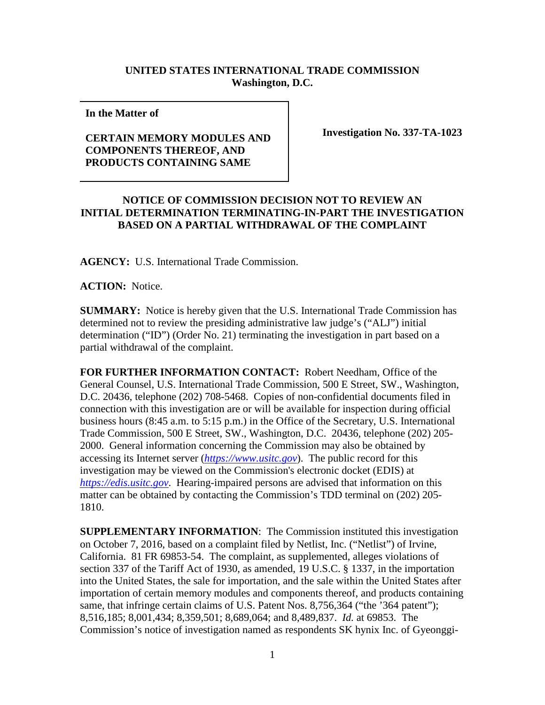## **UNITED STATES INTERNATIONAL TRADE COMMISSION Washington, D.C.**

**In the Matter of** 

## **CERTAIN MEMORY MODULES AND COMPONENTS THEREOF, AND PRODUCTS CONTAINING SAME**

**Investigation No. 337-TA-1023**

## **NOTICE OF COMMISSION DECISION NOT TO REVIEW AN INITIAL DETERMINATION TERMINATING-IN-PART THE INVESTIGATION BASED ON A PARTIAL WITHDRAWAL OF THE COMPLAINT**

**AGENCY:** U.S. International Trade Commission.

**ACTION:** Notice.

**SUMMARY:** Notice is hereby given that the U.S. International Trade Commission has determined not to review the presiding administrative law judge's ("ALJ") initial determination ("ID") (Order No. 21) terminating the investigation in part based on a partial withdrawal of the complaint.

**FOR FURTHER INFORMATION CONTACT:** Robert Needham, Office of the General Counsel, U.S. International Trade Commission, 500 E Street, SW., Washington, D.C. 20436, telephone (202) 708-5468. Copies of non-confidential documents filed in connection with this investigation are or will be available for inspection during official business hours (8:45 a.m. to 5:15 p.m.) in the Office of the Secretary, U.S. International Trade Commission, 500 E Street, SW., Washington, D.C. 20436, telephone (202) 205- 2000. General information concerning the Commission may also be obtained by accessing its Internet server (*[https://www.usitc.gov](https://www.usitc.gov/)*). The public record for this investigation may be viewed on the Commission's electronic docket (EDIS) at *[https://edis.usitc.gov](https://edis.usitc.gov/)*. Hearing-impaired persons are advised that information on this matter can be obtained by contacting the Commission's TDD terminal on (202) 205- 1810.

**SUPPLEMENTARY INFORMATION**: The Commission instituted this investigation on October 7, 2016, based on a complaint filed by Netlist, Inc. ("Netlist") of Irvine, California. 81 FR 69853-54. The complaint, as supplemented, alleges violations of section 337 of the Tariff Act of 1930, as amended, 19 U.S.C. § 1337, in the importation into the United States, the sale for importation, and the sale within the United States after importation of certain memory modules and components thereof, and products containing same, that infringe certain claims of U.S. Patent Nos. 8,756,364 ("the '364 patent"); 8,516,185; 8,001,434; 8,359,501; 8,689,064; and 8,489,837. *Id.* at 69853. The Commission's notice of investigation named as respondents SK hynix Inc. of Gyeonggi